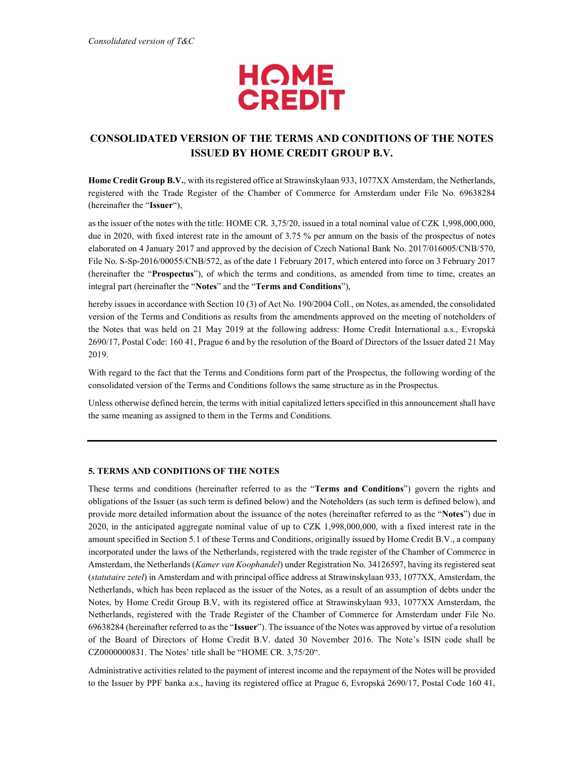

# CONSOLIDATED VERSION OF THE TERMS AND CONDITIONS OF THE NOTES ISSUED BY HOME CREDIT GROUP B.V.

Home Credit Group B.V., with its registered office at Strawinskylaan 933, 1077XX Amsterdam, the Netherlands, registered with the Trade Register of the Chamber of Commerce for Amsterdam under File No. 69638284 (hereinafter the "Issuer"),

as the issuer of the notes with the title: HOME CR. 3,75/20, issued in a total nominal value of CZK 1,998,000,000, due in 2020, with fixed interest rate in the amount of 3.75 % per annum on the basis of the prospectus of notes elaborated on 4 January 2017 and approved by the decision of Czech National Bank No. 2017/016005/CNB/570, File No. S-Sp-2016/00055/CNB/572, as of the date 1 February 2017, which entered into force on 3 February 2017 (hereinafter the "Prospectus"), of which the terms and conditions, as amended from time to time, creates an integral part (hereinafter the "Notes" and the "Terms and Conditions"),

hereby issues in accordance with Section 10 (3) of Act No. 190/2004 Coll., on Notes, as amended, the consolidated version of the Terms and Conditions as results from the amendments approved on the meeting of noteholders of the Notes that was held on 21 May 2019 at the following address: Home Credit International a.s., Evropská 2690/17, Postal Code: 160 41, Prague 6 and by the resolution of the Board of Directors of the Issuer dated 21 May 2019.

With regard to the fact that the Terms and Conditions form part of the Prospectus, the following wording of the consolidated version of the Terms and Conditions follows the same structure as in the Prospectus.

Unless otherwise defined herein, the terms with initial capitalized letters specified in this announcement shall have the same meaning as assigned to them in the Terms and Conditions.

# 5. TERMS AND CONDITIONS OF THE NOTES

These terms and conditions (hereinafter referred to as the "Terms and Conditions") govern the rights and obligations of the Issuer (as such term is defined below) and the Noteholders (as such term is defined below), and provide more detailed information about the issuance of the notes (hereinafter referred to as the "Notes") due in 2020, in the anticipated aggregate nominal value of up to CZK 1,998,000,000, with a fixed interest rate in the amount specified in Section 5.1 of these Terms and Conditions, originally issued by Home Credit B.V., a company incorporated under the laws of the Netherlands, registered with the trade register of the Chamber of Commerce in Amsterdam, the Netherlands (Kamer van Koophandel) under Registration No. 34126597, having its registered seat (statutaire zetel) in Amsterdam and with principal office address at Strawinskylaan 933, 1077XX, Amsterdam, the Netherlands, which has been replaced as the issuer of the Notes, as a result of an assumption of debts under the Notes, by Home Credit Group B.V, with its registered office at Strawinskylaan 933, 1077XX Amsterdam, the Netherlands, registered with the Trade Register of the Chamber of Commerce for Amsterdam under File No. 69638284 (hereinafter referred to as the "Issuer"). The issuance of the Notes was approved by virtue of a resolution of the Board of Directors of Home Credit B.V. dated 30 November 2016. The Note's ISIN code shall be CZ0000000831. The Notes' title shall be "HOME CR. 3,75/20".

Administrative activities related to the payment of interest income and the repayment of the Notes will be provided to the Issuer by PPF banka a.s., having its registered office at Prague 6, Evropská 2690/17, Postal Code 160 41,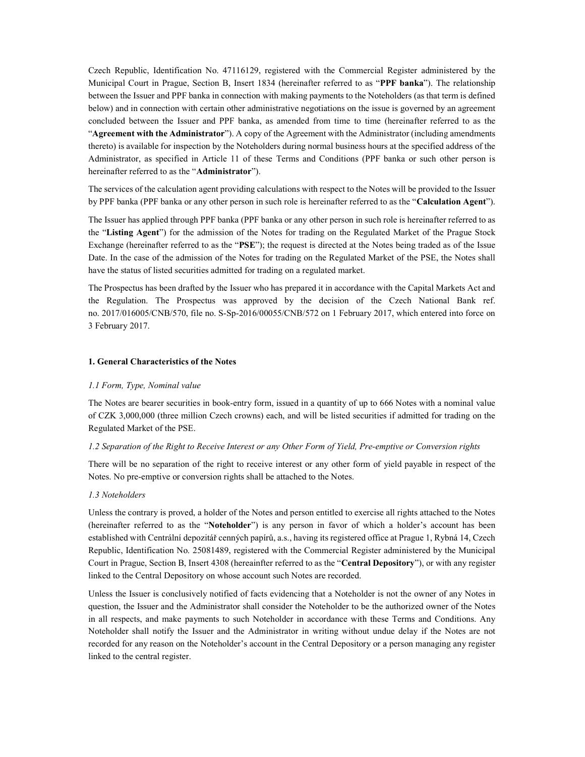Czech Republic, Identification No. 47116129, registered with the Commercial Register administered by the Municipal Court in Prague, Section B, Insert 1834 (hereinafter referred to as "PPF banka"). The relationship between the Issuer and PPF banka in connection with making payments to the Noteholders (as that term is defined below) and in connection with certain other administrative negotiations on the issue is governed by an agreement concluded between the Issuer and PPF banka, as amended from time to time (hereinafter referred to as the "Agreement with the Administrator"). A copy of the Agreement with the Administrator (including amendments thereto) is available for inspection by the Noteholders during normal business hours at the specified address of the Administrator, as specified in Article 11 of these Terms and Conditions (PPF banka or such other person is hereinafter referred to as the "Administrator").

The services of the calculation agent providing calculations with respect to the Notes will be provided to the Issuer by PPF banka (PPF banka or any other person in such role is hereinafter referred to as the "Calculation Agent").

The Issuer has applied through PPF banka (PPF banka or any other person in such role is hereinafter referred to as the "Listing Agent") for the admission of the Notes for trading on the Regulated Market of the Prague Stock Exchange (hereinafter referred to as the "PSE"); the request is directed at the Notes being traded as of the Issue Date. In the case of the admission of the Notes for trading on the Regulated Market of the PSE, the Notes shall have the status of listed securities admitted for trading on a regulated market.

The Prospectus has been drafted by the Issuer who has prepared it in accordance with the Capital Markets Act and the Regulation. The Prospectus was approved by the decision of the Czech National Bank ref. no. 2017/016005/CNB/570, file no. S-Sp-2016/00055/CNB/572 on 1 February 2017, which entered into force on 3 February 2017.

# 1. General Characteristics of the Notes

### 1.1 Form, Type, Nominal value

The Notes are bearer securities in book-entry form, issued in a quantity of up to 666 Notes with a nominal value of CZK 3,000,000 (three million Czech crowns) each, and will be listed securities if admitted for trading on the Regulated Market of the PSE.

# 1.2 Separation of the Right to Receive Interest or any Other Form of Yield, Pre-emptive or Conversion rights

There will be no separation of the right to receive interest or any other form of yield payable in respect of the Notes. No pre-emptive or conversion rights shall be attached to the Notes.

### 1.3 Noteholders

Unless the contrary is proved, a holder of the Notes and person entitled to exercise all rights attached to the Notes (hereinafter referred to as the "Noteholder") is any person in favor of which a holder's account has been established with Centrální depozitář cenných papírů, a.s., having its registered office at Prague 1, Rybná 14, Czech Republic, Identification No. 25081489, registered with the Commercial Register administered by the Municipal Court in Prague, Section B, Insert 4308 (hereainfter referred to as the "Central Depository"), or with any register linked to the Central Depository on whose account such Notes are recorded.

Unless the Issuer is conclusively notified of facts evidencing that a Noteholder is not the owner of any Notes in question, the Issuer and the Administrator shall consider the Noteholder to be the authorized owner of the Notes in all respects, and make payments to such Noteholder in accordance with these Terms and Conditions. Any Noteholder shall notify the Issuer and the Administrator in writing without undue delay if the Notes are not recorded for any reason on the Noteholder's account in the Central Depository or a person managing any register linked to the central register.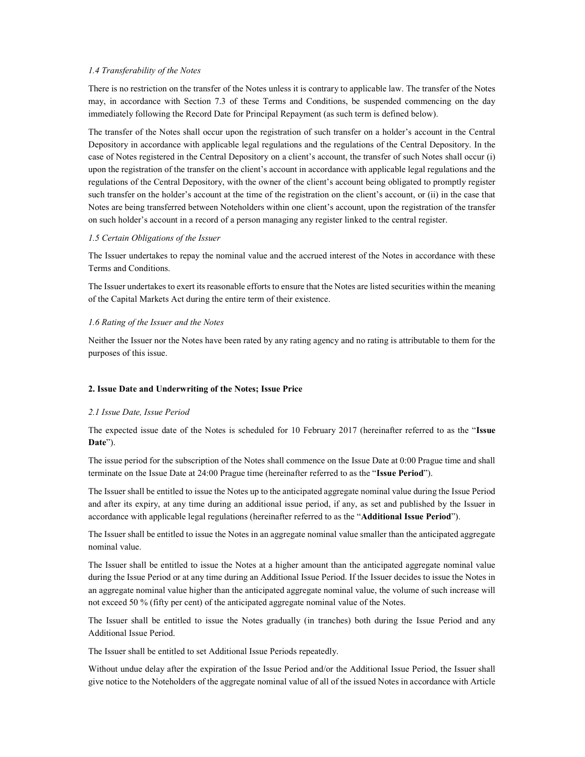# 1.4 Transferability of the Notes

There is no restriction on the transfer of the Notes unless it is contrary to applicable law. The transfer of the Notes may, in accordance with Section 7.3 of these Terms and Conditions, be suspended commencing on the day immediately following the Record Date for Principal Repayment (as such term is defined below).

The transfer of the Notes shall occur upon the registration of such transfer on a holder's account in the Central Depository in accordance with applicable legal regulations and the regulations of the Central Depository. In the case of Notes registered in the Central Depository on a client's account, the transfer of such Notes shall occur (i) upon the registration of the transfer on the client's account in accordance with applicable legal regulations and the regulations of the Central Depository, with the owner of the client's account being obligated to promptly register such transfer on the holder's account at the time of the registration on the client's account, or (ii) in the case that Notes are being transferred between Noteholders within one client's account, upon the registration of the transfer on such holder's account in a record of a person managing any register linked to the central register.

# 1.5 Certain Obligations of the Issuer

The Issuer undertakes to repay the nominal value and the accrued interest of the Notes in accordance with these Terms and Conditions.

The Issuer undertakes to exert its reasonable efforts to ensure that the Notes are listed securities within the meaning of the Capital Markets Act during the entire term of their existence.

#### 1.6 Rating of the Issuer and the Notes

Neither the Issuer nor the Notes have been rated by any rating agency and no rating is attributable to them for the purposes of this issue.

### 2. Issue Date and Underwriting of the Notes; Issue Price

### 2.1 Issue Date, Issue Period

The expected issue date of the Notes is scheduled for 10 February 2017 (hereinafter referred to as the "Issue Date").

The issue period for the subscription of the Notes shall commence on the Issue Date at 0:00 Prague time and shall terminate on the Issue Date at 24:00 Prague time (hereinafter referred to as the "Issue Period").

The Issuer shall be entitled to issue the Notes up to the anticipated aggregate nominal value during the Issue Period and after its expiry, at any time during an additional issue period, if any, as set and published by the Issuer in accordance with applicable legal regulations (hereinafter referred to as the "Additional Issue Period").

The Issuer shall be entitled to issue the Notes in an aggregate nominal value smaller than the anticipated aggregate nominal value.

The Issuer shall be entitled to issue the Notes at a higher amount than the anticipated aggregate nominal value during the Issue Period or at any time during an Additional Issue Period. If the Issuer decides to issue the Notes in an aggregate nominal value higher than the anticipated aggregate nominal value, the volume of such increase will not exceed 50 % (fifty per cent) of the anticipated aggregate nominal value of the Notes.

The Issuer shall be entitled to issue the Notes gradually (in tranches) both during the Issue Period and any Additional Issue Period.

The Issuer shall be entitled to set Additional Issue Periods repeatedly.

Without undue delay after the expiration of the Issue Period and/or the Additional Issue Period, the Issuer shall give notice to the Noteholders of the aggregate nominal value of all of the issued Notes in accordance with Article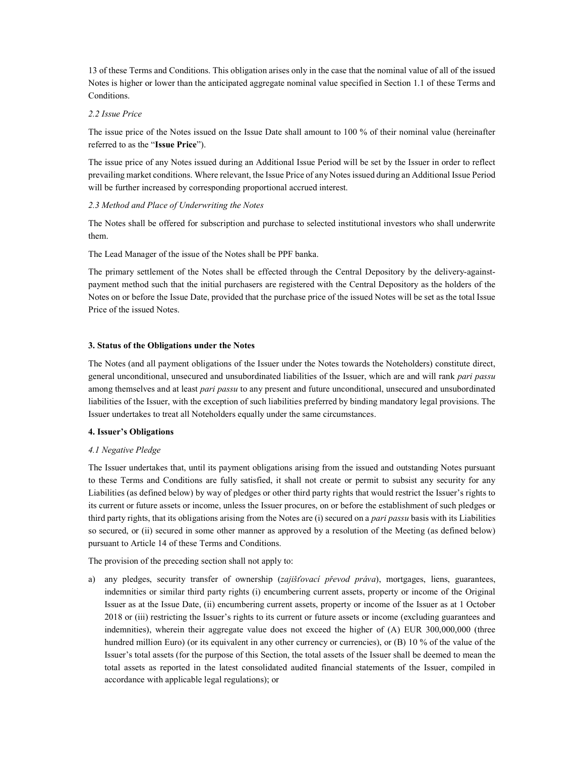13 of these Terms and Conditions. This obligation arises only in the case that the nominal value of all of the issued Notes is higher or lower than the anticipated aggregate nominal value specified in Section 1.1 of these Terms and Conditions.

# 2.2 Issue Price

The issue price of the Notes issued on the Issue Date shall amount to 100 % of their nominal value (hereinafter referred to as the "Issue Price").

The issue price of any Notes issued during an Additional Issue Period will be set by the Issuer in order to reflect prevailing market conditions. Where relevant, the Issue Price of any Notes issued during an Additional Issue Period will be further increased by corresponding proportional accrued interest.

# 2.3 Method and Place of Underwriting the Notes

The Notes shall be offered for subscription and purchase to selected institutional investors who shall underwrite them.

The Lead Manager of the issue of the Notes shall be PPF banka.

The primary settlement of the Notes shall be effected through the Central Depository by the delivery-againstpayment method such that the initial purchasers are registered with the Central Depository as the holders of the Notes on or before the Issue Date, provided that the purchase price of the issued Notes will be set as the total Issue Price of the issued Notes.

# 3. Status of the Obligations under the Notes

The Notes (and all payment obligations of the Issuer under the Notes towards the Noteholders) constitute direct, general unconditional, unsecured and unsubordinated liabilities of the Issuer, which are and will rank pari passu among themselves and at least *pari passu* to any present and future unconditional, unsecured and unsubordinated liabilities of the Issuer, with the exception of such liabilities preferred by binding mandatory legal provisions. The Issuer undertakes to treat all Noteholders equally under the same circumstances.

# 4. Issuer's Obligations

# 4.1 Negative Pledge

The Issuer undertakes that, until its payment obligations arising from the issued and outstanding Notes pursuant to these Terms and Conditions are fully satisfied, it shall not create or permit to subsist any security for any Liabilities (as defined below) by way of pledges or other third party rights that would restrict the Issuer's rights to its current or future assets or income, unless the Issuer procures, on or before the establishment of such pledges or third party rights, that its obligations arising from the Notes are (i) secured on a *pari passu* basis with its Liabilities so secured, or (ii) secured in some other manner as approved by a resolution of the Meeting (as defined below) pursuant to Article 14 of these Terms and Conditions.

The provision of the preceding section shall not apply to:

a) any pledges, security transfer of ownership (zajišťovací převod práva), mortgages, liens, guarantees, indemnities or similar third party rights (i) encumbering current assets, property or income of the Original Issuer as at the Issue Date, (ii) encumbering current assets, property or income of the Issuer as at 1 October 2018 or (iii) restricting the Issuer's rights to its current or future assets or income (excluding guarantees and indemnities), wherein their aggregate value does not exceed the higher of (A) EUR 300,000,000 (three hundred million Euro) (or its equivalent in any other currency or currencies), or (B) 10 % of the value of the Issuer's total assets (for the purpose of this Section, the total assets of the Issuer shall be deemed to mean the total assets as reported in the latest consolidated audited financial statements of the Issuer, compiled in accordance with applicable legal regulations); or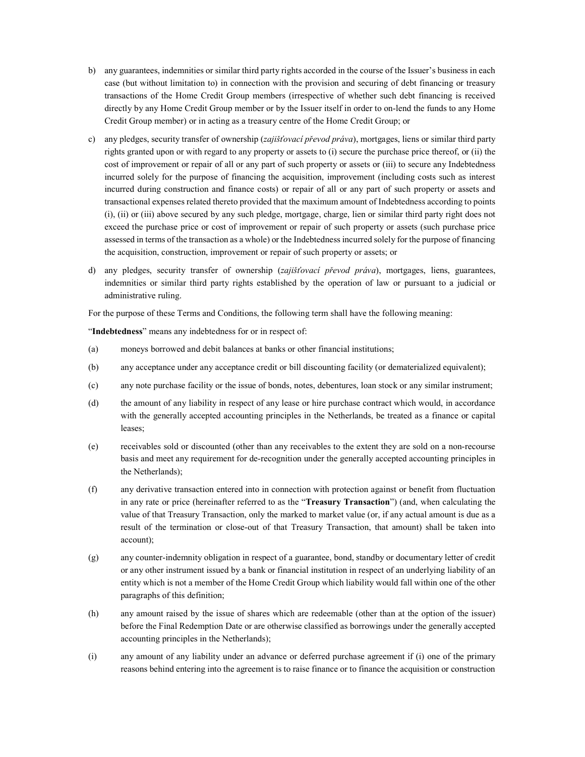- b) any guarantees, indemnities or similar third party rights accorded in the course of the Issuer's business in each case (but without limitation to) in connection with the provision and securing of debt financing or treasury transactions of the Home Credit Group members (irrespective of whether such debt financing is received directly by any Home Credit Group member or by the Issuer itself in order to on-lend the funds to any Home Credit Group member) or in acting as a treasury centre of the Home Credit Group; or
- c) any pledges, security transfer of ownership (*zajišťovací převod práva*), mortgages, liens or similar third party rights granted upon or with regard to any property or assets to (i) secure the purchase price thereof, or (ii) the cost of improvement or repair of all or any part of such property or assets or (iii) to secure any Indebtedness incurred solely for the purpose of financing the acquisition, improvement (including costs such as interest incurred during construction and finance costs) or repair of all or any part of such property or assets and transactional expenses related thereto provided that the maximum amount of Indebtedness according to points (i), (ii) or (iii) above secured by any such pledge, mortgage, charge, lien or similar third party right does not exceed the purchase price or cost of improvement or repair of such property or assets (such purchase price assessed in terms of the transaction as a whole) or the Indebtedness incurred solely for the purpose of financing the acquisition, construction, improvement or repair of such property or assets; or
- d) any pledges, security transfer of ownership (*zajišťovací převod práva*), mortgages, liens, guarantees, indemnities or similar third party rights established by the operation of law or pursuant to a judicial or administrative ruling.

For the purpose of these Terms and Conditions, the following term shall have the following meaning:

"Indebtedness" means any indebtedness for or in respect of:

- (a) moneys borrowed and debit balances at banks or other financial institutions;
- (b) any acceptance under any acceptance credit or bill discounting facility (or dematerialized equivalent);
- (c) any note purchase facility or the issue of bonds, notes, debentures, loan stock or any similar instrument;
- (d) the amount of any liability in respect of any lease or hire purchase contract which would, in accordance with the generally accepted accounting principles in the Netherlands, be treated as a finance or capital leases;
- (e) receivables sold or discounted (other than any receivables to the extent they are sold on a non-recourse basis and meet any requirement for de-recognition under the generally accepted accounting principles in the Netherlands);
- (f) any derivative transaction entered into in connection with protection against or benefit from fluctuation in any rate or price (hereinafter referred to as the "Treasury Transaction") (and, when calculating the value of that Treasury Transaction, only the marked to market value (or, if any actual amount is due as a result of the termination or close-out of that Treasury Transaction, that amount) shall be taken into account);
- (g) any counter-indemnity obligation in respect of a guarantee, bond, standby or documentary letter of credit or any other instrument issued by a bank or financial institution in respect of an underlying liability of an entity which is not a member of the Home Credit Group which liability would fall within one of the other paragraphs of this definition;
- (h) any amount raised by the issue of shares which are redeemable (other than at the option of the issuer) before the Final Redemption Date or are otherwise classified as borrowings under the generally accepted accounting principles in the Netherlands);
- (i) any amount of any liability under an advance or deferred purchase agreement if (i) one of the primary reasons behind entering into the agreement is to raise finance or to finance the acquisition or construction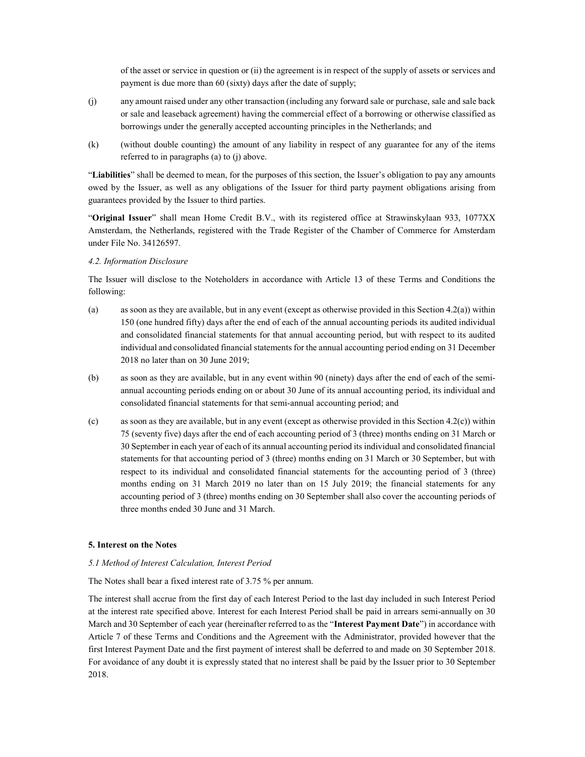of the asset or service in question or (ii) the agreement is in respect of the supply of assets or services and payment is due more than 60 (sixty) days after the date of supply;

- (j) any amount raised under any other transaction (including any forward sale or purchase, sale and sale back or sale and leaseback agreement) having the commercial effect of a borrowing or otherwise classified as borrowings under the generally accepted accounting principles in the Netherlands; and
- (k) (without double counting) the amount of any liability in respect of any guarantee for any of the items referred to in paragraphs (a) to (j) above.

"Liabilities" shall be deemed to mean, for the purposes of this section, the Issuer's obligation to pay any amounts owed by the Issuer, as well as any obligations of the Issuer for third party payment obligations arising from guarantees provided by the Issuer to third parties.

"Original Issuer" shall mean Home Credit B.V., with its registered office at Strawinskylaan 933, 1077XX Amsterdam, the Netherlands, registered with the Trade Register of the Chamber of Commerce for Amsterdam under File No. 34126597.

# 4.2. Information Disclosure

The Issuer will disclose to the Noteholders in accordance with Article 13 of these Terms and Conditions the following:

- (a) as soon as they are available, but in any event (except as otherwise provided in this Section 4.2(a)) within 150 (one hundred fifty) days after the end of each of the annual accounting periods its audited individual and consolidated financial statements for that annual accounting period, but with respect to its audited individual and consolidated financial statements for the annual accounting period ending on 31 December 2018 no later than on 30 June 2019;
- (b) as soon as they are available, but in any event within 90 (ninety) days after the end of each of the semiannual accounting periods ending on or about 30 June of its annual accounting period, its individual and consolidated financial statements for that semi-annual accounting period; and
- (c) as soon as they are available, but in any event (except as otherwise provided in this Section 4.2(c)) within 75 (seventy five) days after the end of each accounting period of 3 (three) months ending on 31 March or 30 September in each year of each of its annual accounting period its individual and consolidated financial statements for that accounting period of 3 (three) months ending on 31 March or 30 September, but with respect to its individual and consolidated financial statements for the accounting period of 3 (three) months ending on 31 March 2019 no later than on 15 July 2019; the financial statements for any accounting period of 3 (three) months ending on 30 September shall also cover the accounting periods of three months ended 30 June and 31 March.

### 5. Interest on the Notes

# 5.1 Method of Interest Calculation, Interest Period

The Notes shall bear a fixed interest rate of 3.75 % per annum.

The interest shall accrue from the first day of each Interest Period to the last day included in such Interest Period at the interest rate specified above. Interest for each Interest Period shall be paid in arrears semi-annually on 30 March and 30 September of each year (hereinafter referred to as the "Interest Payment Date") in accordance with Article 7 of these Terms and Conditions and the Agreement with the Administrator, provided however that the first Interest Payment Date and the first payment of interest shall be deferred to and made on 30 September 2018. For avoidance of any doubt it is expressly stated that no interest shall be paid by the Issuer prior to 30 September 2018.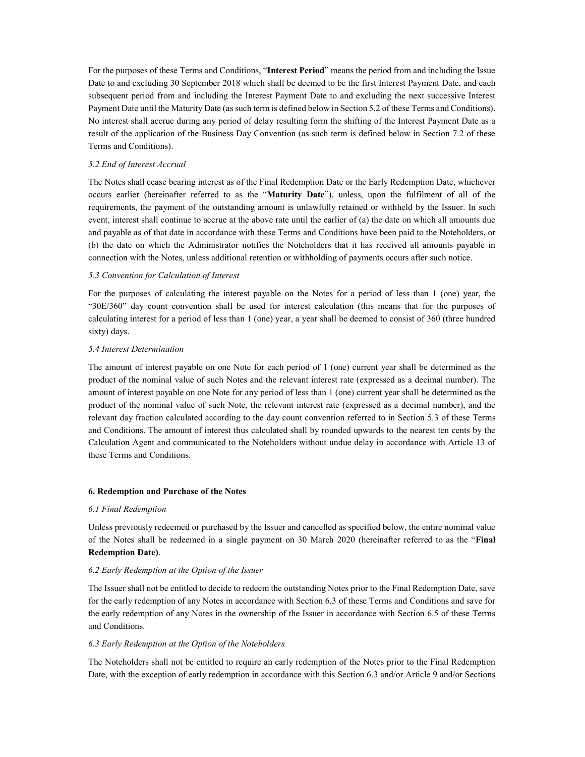For the purposes of these Terms and Conditions, "Interest Period" means the period from and including the Issue Date to and excluding 30 September 2018 which shall be deemed to be the first Interest Payment Date, and each subsequent period from and including the Interest Payment Date to and excluding the next successive Interest Payment Date until the Maturity Date (as such term is defined below in Section 5.2 of these Terms and Conditions). No interest shall accrue during any period of delay resulting form the shifting of the Interest Payment Date as a result of the application of the Business Day Convention (as such term is defined below in Section 7.2 of these Terms and Conditions).

# 5.2 End of Interest Accrual

The Notes shall cease bearing interest as of the Final Redemption Date or the Early Redemption Date, whichever occurs earlier (hereinafter referred to as the "Maturity Date"), unless, upon the fulfilment of all of the requirements, the payment of the outstanding amount is unlawfully retained or withheld by the Issuer. In such event, interest shall continue to accrue at the above rate until the earlier of (a) the date on which all amounts due and payable as of that date in accordance with these Terms and Conditions have been paid to the Noteholders, or (b) the date on which the Administrator notifies the Noteholders that it has received all amounts payable in connection with the Notes, unless additional retention or withholding of payments occurs after such notice.

# 5.3 Convention for Calculation of Interest

For the purposes of calculating the interest payable on the Notes for a period of less than 1 (one) year, the "30E/360" day count convention shall be used for interest calculation (this means that for the purposes of calculating interest for a period of less than 1 (one) year, a year shall be deemed to consist of 360 (three hundred sixty) days.

# 5.4 Interest Determination

The amount of interest payable on one Note for each period of 1 (one) current year shall be determined as the product of the nominal value of such Notes and the relevant interest rate (expressed as a decimal number). The amount of interest payable on one Note for any period of less than 1 (one) current year shall be determined as the product of the nominal value of such Note, the relevant interest rate (expressed as a decimal number), and the relevant day fraction calculated according to the day count convention referred to in Section 5.3 of these Terms and Conditions. The amount of interest thus calculated shall by rounded upwards to the nearest ten cents by the Calculation Agent and communicated to the Noteholders without undue delay in accordance with Article 13 of these Terms and Conditions.

# 6. Redemption and Purchase of the Notes

# 6.1 Final Redemption

Unless previously redeemed or purchased by the Issuer and cancelled as specified below, the entire nominal value of the Notes shall be redeemed in a single payment on 30 March 2020 (hereinafter referred to as the "Final Redemption Date).

# 6.2 Early Redemption at the Option of the Issuer

The Issuer shall not be entitled to decide to redeem the outstanding Notes prior to the Final Redemption Date, save for the early redemption of any Notes in accordance with Section 6.3 of these Terms and Conditions and save for the early redemption of any Notes in the ownership of the Issuer in accordance with Section 6.5 of these Terms and Conditions.

# 6.3 Early Redemption at the Option of the Noteholders

The Noteholders shall not be entitled to require an early redemption of the Notes prior to the Final Redemption Date, with the exception of early redemption in accordance with this Section 6.3 and/or Article 9 and/or Sections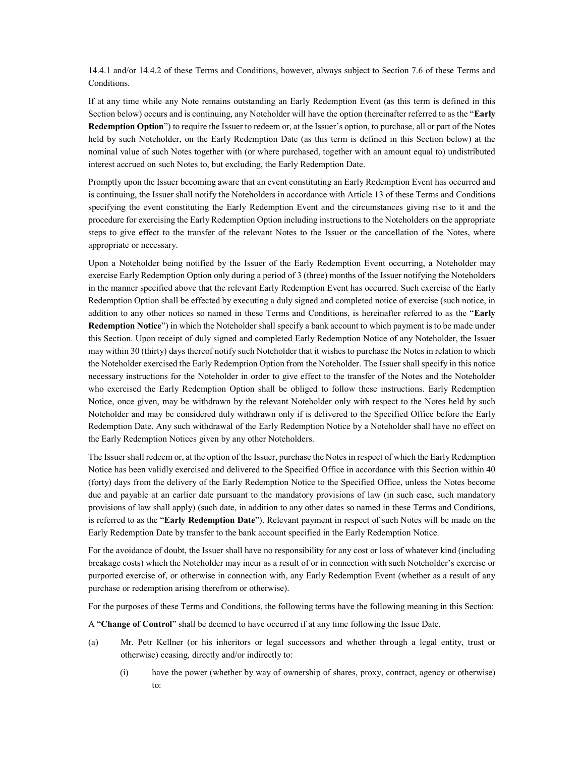14.4.1 and/or 14.4.2 of these Terms and Conditions, however, always subject to Section 7.6 of these Terms and Conditions.

If at any time while any Note remains outstanding an Early Redemption Event (as this term is defined in this Section below) occurs and is continuing, any Noteholder will have the option (hereinafter referred to as the "Early Redemption Option") to require the Issuer to redeem or, at the Issuer's option, to purchase, all or part of the Notes held by such Noteholder, on the Early Redemption Date (as this term is defined in this Section below) at the nominal value of such Notes together with (or where purchased, together with an amount equal to) undistributed interest accrued on such Notes to, but excluding, the Early Redemption Date.

Promptly upon the Issuer becoming aware that an event constituting an Early Redemption Event has occurred and is continuing, the Issuer shall notify the Noteholders in accordance with Article 13 of these Terms and Conditions specifying the event constituting the Early Redemption Event and the circumstances giving rise to it and the procedure for exercising the Early Redemption Option including instructions to the Noteholders on the appropriate steps to give effect to the transfer of the relevant Notes to the Issuer or the cancellation of the Notes, where appropriate or necessary.

Upon a Noteholder being notified by the Issuer of the Early Redemption Event occurring, a Noteholder may exercise Early Redemption Option only during a period of 3 (three) months of the Issuer notifying the Noteholders in the manner specified above that the relevant Early Redemption Event has occurred. Such exercise of the Early Redemption Option shall be effected by executing a duly signed and completed notice of exercise (such notice, in addition to any other notices so named in these Terms and Conditions, is hereinafter referred to as the "Early Redemption Notice") in which the Noteholder shall specify a bank account to which payment is to be made under this Section. Upon receipt of duly signed and completed Early Redemption Notice of any Noteholder, the Issuer may within 30 (thirty) days thereof notify such Noteholder that it wishes to purchase the Notes in relation to which the Noteholder exercised the Early Redemption Option from the Noteholder. The Issuer shall specify in this notice necessary instructions for the Noteholder in order to give effect to the transfer of the Notes and the Noteholder who exercised the Early Redemption Option shall be obliged to follow these instructions. Early Redemption Notice, once given, may be withdrawn by the relevant Noteholder only with respect to the Notes held by such Noteholder and may be considered duly withdrawn only if is delivered to the Specified Office before the Early Redemption Date. Any such withdrawal of the Early Redemption Notice by a Noteholder shall have no effect on the Early Redemption Notices given by any other Noteholders.

The Issuer shall redeem or, at the option of the Issuer, purchase the Notes in respect of which the Early Redemption Notice has been validly exercised and delivered to the Specified Office in accordance with this Section within 40 (forty) days from the delivery of the Early Redemption Notice to the Specified Office, unless the Notes become due and payable at an earlier date pursuant to the mandatory provisions of law (in such case, such mandatory provisions of law shall apply) (such date, in addition to any other dates so named in these Terms and Conditions, is referred to as the "Early Redemption Date"). Relevant payment in respect of such Notes will be made on the Early Redemption Date by transfer to the bank account specified in the Early Redemption Notice.

For the avoidance of doubt, the Issuer shall have no responsibility for any cost or loss of whatever kind (including breakage costs) which the Noteholder may incur as a result of or in connection with such Noteholder's exercise or purported exercise of, or otherwise in connection with, any Early Redemption Event (whether as a result of any purchase or redemption arising therefrom or otherwise).

For the purposes of these Terms and Conditions, the following terms have the following meaning in this Section:

A "Change of Control" shall be deemed to have occurred if at any time following the Issue Date,

- (a) Mr. Petr Kellner (or his inheritors or legal successors and whether through a legal entity, trust or otherwise) ceasing, directly and/or indirectly to:
	- (i) have the power (whether by way of ownership of shares, proxy, contract, agency or otherwise) to: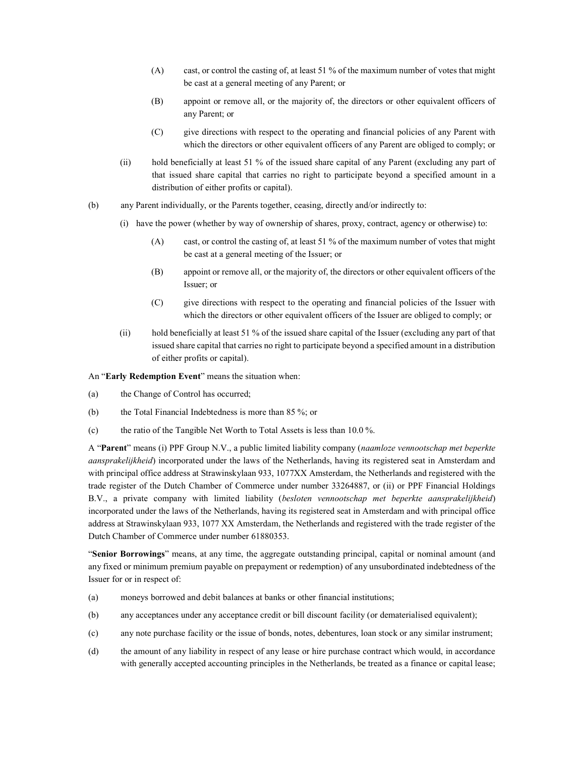- (A) cast, or control the casting of, at least 51 % of the maximum number of votes that might be cast at a general meeting of any Parent; or
- (B) appoint or remove all, or the majority of, the directors or other equivalent officers of any Parent; or
- (C) give directions with respect to the operating and financial policies of any Parent with which the directors or other equivalent officers of any Parent are obliged to comply; or
- (ii) hold beneficially at least 51 % of the issued share capital of any Parent (excluding any part of that issued share capital that carries no right to participate beyond a specified amount in a distribution of either profits or capital).
- (b) any Parent individually, or the Parents together, ceasing, directly and/or indirectly to:
	- (i) have the power (whether by way of ownership of shares, proxy, contract, agency or otherwise) to:
		- (A) cast, or control the casting of, at least 51 % of the maximum number of votes that might be cast at a general meeting of the Issuer; or
		- (B) appoint or remove all, or the majority of, the directors or other equivalent officers of the Issuer; or
		- (C) give directions with respect to the operating and financial policies of the Issuer with which the directors or other equivalent officers of the Issuer are obliged to comply; or
	- (ii) hold beneficially at least 51 % of the issued share capital of the Issuer (excluding any part of that issued share capital that carries no right to participate beyond a specified amount in a distribution of either profits or capital).

An "Early Redemption Event" means the situation when:

- (a) the Change of Control has occurred;
- (b) the Total Financial Indebtedness is more than 85 %; or
- (c) the ratio of the Tangible Net Worth to Total Assets is less than 10.0 %.

A "Parent" means (i) PPF Group N.V., a public limited liability company (naamloze vennootschap met beperkte aansprakelijkheid) incorporated under the laws of the Netherlands, having its registered seat in Amsterdam and with principal office address at Strawinskylaan 933, 1077XX Amsterdam, the Netherlands and registered with the trade register of the Dutch Chamber of Commerce under number 33264887, or (ii) or PPF Financial Holdings B.V., a private company with limited liability (besloten vennootschap met beperkte aansprakelijkheid) incorporated under the laws of the Netherlands, having its registered seat in Amsterdam and with principal office address at Strawinskylaan 933, 1077 XX Amsterdam, the Netherlands and registered with the trade register of the Dutch Chamber of Commerce under number 61880353.

"Senior Borrowings" means, at any time, the aggregate outstanding principal, capital or nominal amount (and any fixed or minimum premium payable on prepayment or redemption) of any unsubordinated indebtedness of the Issuer for or in respect of:

- (a) moneys borrowed and debit balances at banks or other financial institutions;
- (b) any acceptances under any acceptance credit or bill discount facility (or dematerialised equivalent);
- (c) any note purchase facility or the issue of bonds, notes, debentures, loan stock or any similar instrument;
- (d) the amount of any liability in respect of any lease or hire purchase contract which would, in accordance with generally accepted accounting principles in the Netherlands, be treated as a finance or capital lease;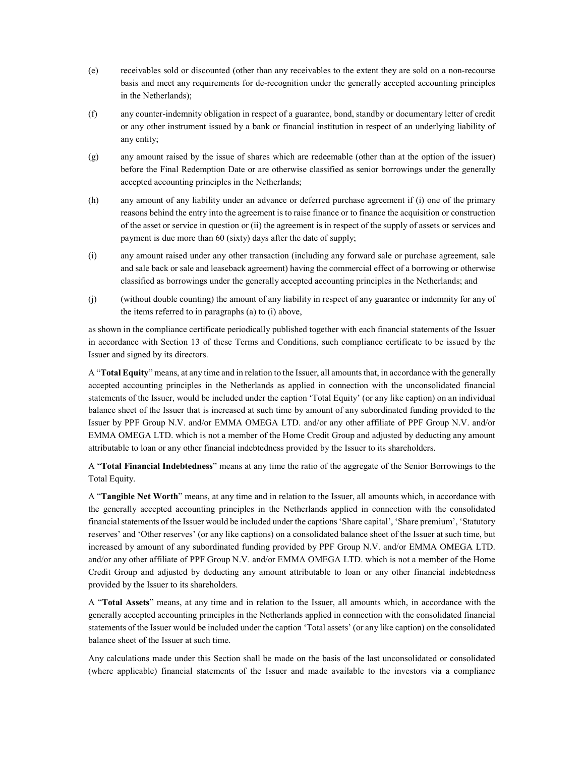- (e) receivables sold or discounted (other than any receivables to the extent they are sold on a non-recourse basis and meet any requirements for de-recognition under the generally accepted accounting principles in the Netherlands);
- (f) any counter-indemnity obligation in respect of a guarantee, bond, standby or documentary letter of credit or any other instrument issued by a bank or financial institution in respect of an underlying liability of any entity;
- (g) any amount raised by the issue of shares which are redeemable (other than at the option of the issuer) before the Final Redemption Date or are otherwise classified as senior borrowings under the generally accepted accounting principles in the Netherlands;
- (h) any amount of any liability under an advance or deferred purchase agreement if (i) one of the primary reasons behind the entry into the agreement is to raise finance or to finance the acquisition or construction of the asset or service in question or (ii) the agreement is in respect of the supply of assets or services and payment is due more than 60 (sixty) days after the date of supply;
- (i) any amount raised under any other transaction (including any forward sale or purchase agreement, sale and sale back or sale and leaseback agreement) having the commercial effect of a borrowing or otherwise classified as borrowings under the generally accepted accounting principles in the Netherlands; and
- (j) (without double counting) the amount of any liability in respect of any guarantee or indemnity for any of the items referred to in paragraphs (a) to (i) above,

as shown in the compliance certificate periodically published together with each financial statements of the Issuer in accordance with Section 13 of these Terms and Conditions, such compliance certificate to be issued by the Issuer and signed by its directors.

A "Total Equity" means, at any time and in relation to the Issuer, all amounts that, in accordance with the generally accepted accounting principles in the Netherlands as applied in connection with the unconsolidated financial statements of the Issuer, would be included under the caption 'Total Equity' (or any like caption) on an individual balance sheet of the Issuer that is increased at such time by amount of any subordinated funding provided to the Issuer by PPF Group N.V. and/or EMMA OMEGA LTD. and/or any other affiliate of PPF Group N.V. and/or EMMA OMEGA LTD. which is not a member of the Home Credit Group and adjusted by deducting any amount attributable to loan or any other financial indebtedness provided by the Issuer to its shareholders.

A "Total Financial Indebtedness" means at any time the ratio of the aggregate of the Senior Borrowings to the Total Equity.

A "Tangible Net Worth" means, at any time and in relation to the Issuer, all amounts which, in accordance with the generally accepted accounting principles in the Netherlands applied in connection with the consolidated financial statements of the Issuer would be included under the captions 'Share capital', 'Share premium', 'Statutory reserves' and 'Other reserves' (or any like captions) on a consolidated balance sheet of the Issuer at such time, but increased by amount of any subordinated funding provided by PPF Group N.V. and/or EMMA OMEGA LTD. and/or any other affiliate of PPF Group N.V. and/or EMMA OMEGA LTD. which is not a member of the Home Credit Group and adjusted by deducting any amount attributable to loan or any other financial indebtedness provided by the Issuer to its shareholders.

A "Total Assets" means, at any time and in relation to the Issuer, all amounts which, in accordance with the generally accepted accounting principles in the Netherlands applied in connection with the consolidated financial statements of the Issuer would be included under the caption 'Total assets' (or any like caption) on the consolidated balance sheet of the Issuer at such time.

Any calculations made under this Section shall be made on the basis of the last unconsolidated or consolidated (where applicable) financial statements of the Issuer and made available to the investors via a compliance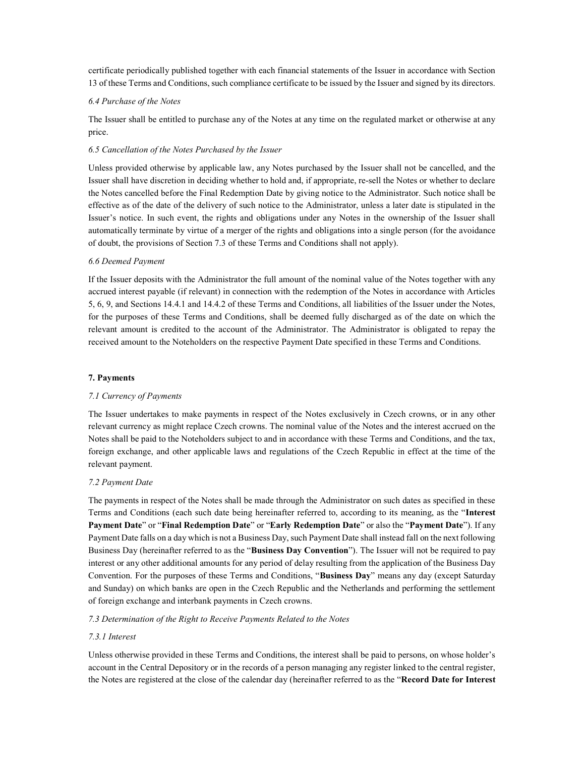certificate periodically published together with each financial statements of the Issuer in accordance with Section 13 of these Terms and Conditions, such compliance certificate to be issued by the Issuer and signed by its directors.

# 6.4 Purchase of the Notes

The Issuer shall be entitled to purchase any of the Notes at any time on the regulated market or otherwise at any price.

# 6.5 Cancellation of the Notes Purchased by the Issuer

Unless provided otherwise by applicable law, any Notes purchased by the Issuer shall not be cancelled, and the Issuer shall have discretion in deciding whether to hold and, if appropriate, re-sell the Notes or whether to declare the Notes cancelled before the Final Redemption Date by giving notice to the Administrator. Such notice shall be effective as of the date of the delivery of such notice to the Administrator, unless a later date is stipulated in the Issuer's notice. In such event, the rights and obligations under any Notes in the ownership of the Issuer shall automatically terminate by virtue of a merger of the rights and obligations into a single person (for the avoidance of doubt, the provisions of Section 7.3 of these Terms and Conditions shall not apply).

# 6.6 Deemed Payment

If the Issuer deposits with the Administrator the full amount of the nominal value of the Notes together with any accrued interest payable (if relevant) in connection with the redemption of the Notes in accordance with Articles 5, 6, 9, and Sections 14.4.1 and 14.4.2 of these Terms and Conditions, all liabilities of the Issuer under the Notes, for the purposes of these Terms and Conditions, shall be deemed fully discharged as of the date on which the relevant amount is credited to the account of the Administrator. The Administrator is obligated to repay the received amount to the Noteholders on the respective Payment Date specified in these Terms and Conditions.

## 7. Payments

### 7.1 Currency of Payments

The Issuer undertakes to make payments in respect of the Notes exclusively in Czech crowns, or in any other relevant currency as might replace Czech crowns. The nominal value of the Notes and the interest accrued on the Notes shall be paid to the Noteholders subject to and in accordance with these Terms and Conditions, and the tax, foreign exchange, and other applicable laws and regulations of the Czech Republic in effect at the time of the relevant payment.

# 7.2 Payment Date

The payments in respect of the Notes shall be made through the Administrator on such dates as specified in these Terms and Conditions (each such date being hereinafter referred to, according to its meaning, as the "Interest Payment Date" or "Final Redemption Date" or "Early Redemption Date" or also the "Payment Date"). If any Payment Date falls on a day which is not a Business Day, such Payment Date shall instead fall on the next following Business Day (hereinafter referred to as the "Business Day Convention"). The Issuer will not be required to pay interest or any other additional amounts for any period of delay resulting from the application of the Business Day Convention. For the purposes of these Terms and Conditions, "Business Day" means any day (except Saturday and Sunday) on which banks are open in the Czech Republic and the Netherlands and performing the settlement of foreign exchange and interbank payments in Czech crowns.

### 7.3 Determination of the Right to Receive Payments Related to the Notes

### 7.3.1 Interest

Unless otherwise provided in these Terms and Conditions, the interest shall be paid to persons, on whose holder's account in the Central Depository or in the records of a person managing any register linked to the central register, the Notes are registered at the close of the calendar day (hereinafter referred to as the "Record Date for Interest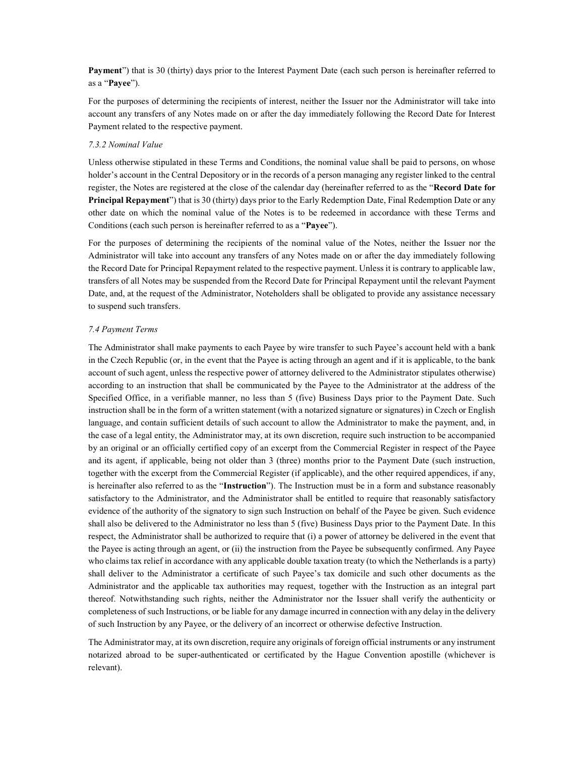Payment") that is 30 (thirty) days prior to the Interest Payment Date (each such person is hereinafter referred to as a "Payee").

For the purposes of determining the recipients of interest, neither the Issuer nor the Administrator will take into account any transfers of any Notes made on or after the day immediately following the Record Date for Interest Payment related to the respective payment.

# 7.3.2 Nominal Value

Unless otherwise stipulated in these Terms and Conditions, the nominal value shall be paid to persons, on whose holder's account in the Central Depository or in the records of a person managing any register linked to the central register, the Notes are registered at the close of the calendar day (hereinafter referred to as the "Record Date for Principal Repayment") that is 30 (thirty) days prior to the Early Redemption Date, Final Redemption Date or any other date on which the nominal value of the Notes is to be redeemed in accordance with these Terms and Conditions (each such person is hereinafter referred to as a "Payee").

For the purposes of determining the recipients of the nominal value of the Notes, neither the Issuer nor the Administrator will take into account any transfers of any Notes made on or after the day immediately following the Record Date for Principal Repayment related to the respective payment. Unless it is contrary to applicable law, transfers of all Notes may be suspended from the Record Date for Principal Repayment until the relevant Payment Date, and, at the request of the Administrator, Noteholders shall be obligated to provide any assistance necessary to suspend such transfers.

### 7.4 Payment Terms

The Administrator shall make payments to each Payee by wire transfer to such Payee's account held with a bank in the Czech Republic (or, in the event that the Payee is acting through an agent and if it is applicable, to the bank account of such agent, unless the respective power of attorney delivered to the Administrator stipulates otherwise) according to an instruction that shall be communicated by the Payee to the Administrator at the address of the Specified Office, in a verifiable manner, no less than 5 (five) Business Days prior to the Payment Date. Such instruction shall be in the form of a written statement (with a notarized signature or signatures) in Czech or English language, and contain sufficient details of such account to allow the Administrator to make the payment, and, in the case of a legal entity, the Administrator may, at its own discretion, require such instruction to be accompanied by an original or an officially certified copy of an excerpt from the Commercial Register in respect of the Payee and its agent, if applicable, being not older than 3 (three) months prior to the Payment Date (such instruction, together with the excerpt from the Commercial Register (if applicable), and the other required appendices, if any, is hereinafter also referred to as the "Instruction"). The Instruction must be in a form and substance reasonably satisfactory to the Administrator, and the Administrator shall be entitled to require that reasonably satisfactory evidence of the authority of the signatory to sign such Instruction on behalf of the Payee be given. Such evidence shall also be delivered to the Administrator no less than 5 (five) Business Days prior to the Payment Date. In this respect, the Administrator shall be authorized to require that (i) a power of attorney be delivered in the event that the Payee is acting through an agent, or (ii) the instruction from the Payee be subsequently confirmed. Any Payee who claims tax relief in accordance with any applicable double taxation treaty (to which the Netherlands is a party) shall deliver to the Administrator a certificate of such Payee's tax domicile and such other documents as the Administrator and the applicable tax authorities may request, together with the Instruction as an integral part thereof. Notwithstanding such rights, neither the Administrator nor the Issuer shall verify the authenticity or completeness of such Instructions, or be liable for any damage incurred in connection with any delay in the delivery of such Instruction by any Payee, or the delivery of an incorrect or otherwise defective Instruction.

The Administrator may, at its own discretion, require any originals of foreign official instruments or any instrument notarized abroad to be super-authenticated or certificated by the Hague Convention apostille (whichever is relevant).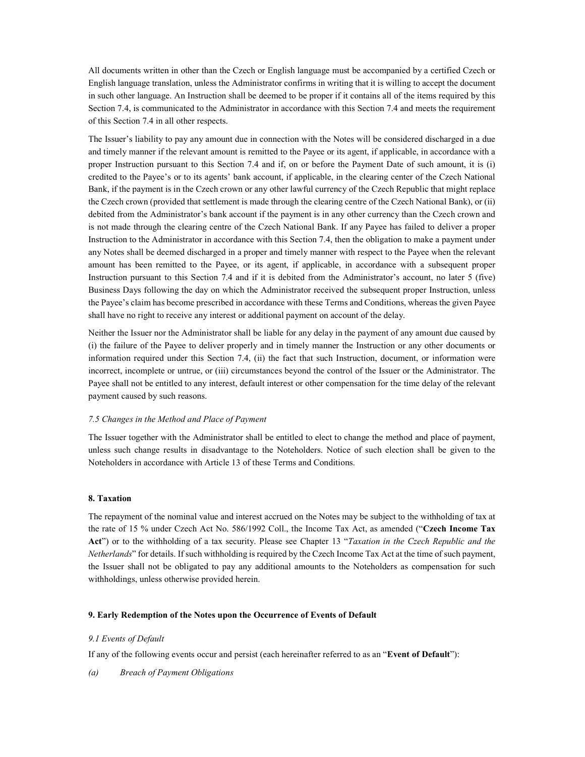All documents written in other than the Czech or English language must be accompanied by a certified Czech or English language translation, unless the Administrator confirms in writing that it is willing to accept the document in such other language. An Instruction shall be deemed to be proper if it contains all of the items required by this Section 7.4, is communicated to the Administrator in accordance with this Section 7.4 and meets the requirement of this Section 7.4 in all other respects.

The Issuer's liability to pay any amount due in connection with the Notes will be considered discharged in a due and timely manner if the relevant amount is remitted to the Payee or its agent, if applicable, in accordance with a proper Instruction pursuant to this Section 7.4 and if, on or before the Payment Date of such amount, it is (i) credited to the Payee's or to its agents' bank account, if applicable, in the clearing center of the Czech National Bank, if the payment is in the Czech crown or any other lawful currency of the Czech Republic that might replace the Czech crown (provided that settlement is made through the clearing centre of the Czech National Bank), or (ii) debited from the Administrator's bank account if the payment is in any other currency than the Czech crown and is not made through the clearing centre of the Czech National Bank. If any Payee has failed to deliver a proper Instruction to the Administrator in accordance with this Section 7.4, then the obligation to make a payment under any Notes shall be deemed discharged in a proper and timely manner with respect to the Payee when the relevant amount has been remitted to the Payee, or its agent, if applicable, in accordance with a subsequent proper Instruction pursuant to this Section 7.4 and if it is debited from the Administrator's account, no later 5 (five) Business Days following the day on which the Administrator received the subsequent proper Instruction, unless the Payee's claim has become prescribed in accordance with these Terms and Conditions, whereas the given Payee shall have no right to receive any interest or additional payment on account of the delay.

Neither the Issuer nor the Administrator shall be liable for any delay in the payment of any amount due caused by (i) the failure of the Payee to deliver properly and in timely manner the Instruction or any other documents or information required under this Section 7.4, (ii) the fact that such Instruction, document, or information were incorrect, incomplete or untrue, or (iii) circumstances beyond the control of the Issuer or the Administrator. The Payee shall not be entitled to any interest, default interest or other compensation for the time delay of the relevant payment caused by such reasons.

# 7.5 Changes in the Method and Place of Payment

The Issuer together with the Administrator shall be entitled to elect to change the method and place of payment, unless such change results in disadvantage to the Noteholders. Notice of such election shall be given to the Noteholders in accordance with Article 13 of these Terms and Conditions.

# 8. Taxation

The repayment of the nominal value and interest accrued on the Notes may be subject to the withholding of tax at the rate of 15 % under Czech Act No. 586/1992 Coll., the Income Tax Act, as amended ("Czech Income Tax Act") or to the withholding of a tax security. Please see Chapter 13 "Taxation in the Czech Republic and the Netherlands" for details. If such withholding is required by the Czech Income Tax Act at the time of such payment, the Issuer shall not be obligated to pay any additional amounts to the Noteholders as compensation for such withholdings, unless otherwise provided herein.

# 9. Early Redemption of the Notes upon the Occurrence of Events of Default

# 9.1 Events of Default

If any of the following events occur and persist (each hereinafter referred to as an "Event of Default"):

(a) Breach of Payment Obligations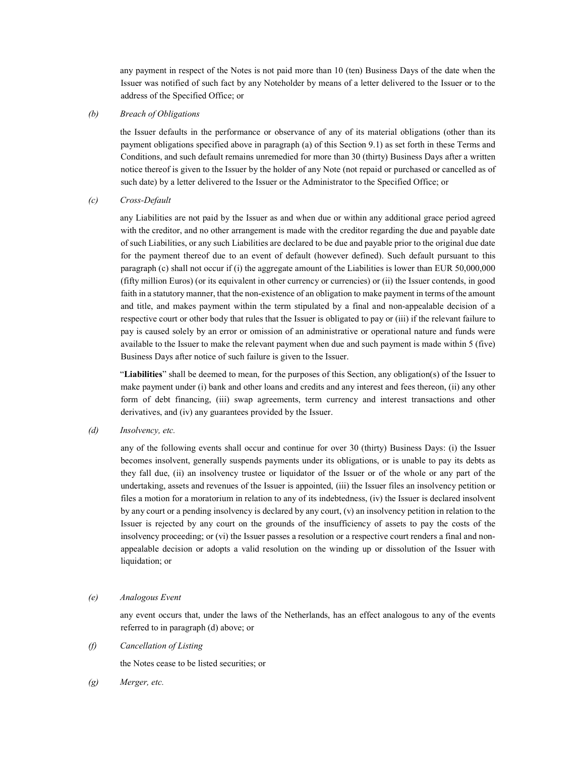any payment in respect of the Notes is not paid more than 10 (ten) Business Days of the date when the Issuer was notified of such fact by any Noteholder by means of a letter delivered to the Issuer or to the address of the Specified Office; or

# (b) Breach of Obligations

the Issuer defaults in the performance or observance of any of its material obligations (other than its payment obligations specified above in paragraph (a) of this Section 9.1) as set forth in these Terms and Conditions, and such default remains unremedied for more than 30 (thirty) Business Days after a written notice thereof is given to the Issuer by the holder of any Note (not repaid or purchased or cancelled as of such date) by a letter delivered to the Issuer or the Administrator to the Specified Office; or

# (c) Cross-Default

any Liabilities are not paid by the Issuer as and when due or within any additional grace period agreed with the creditor, and no other arrangement is made with the creditor regarding the due and payable date of such Liabilities, or any such Liabilities are declared to be due and payable prior to the original due date for the payment thereof due to an event of default (however defined). Such default pursuant to this paragraph (c) shall not occur if (i) the aggregate amount of the Liabilities is lower than EUR 50,000,000 (fifty million Euros) (or its equivalent in other currency or currencies) or (ii) the Issuer contends, in good faith in a statutory manner, that the non-existence of an obligation to make payment in terms of the amount and title, and makes payment within the term stipulated by a final and non-appealable decision of a respective court or other body that rules that the Issuer is obligated to pay or (iii) if the relevant failure to pay is caused solely by an error or omission of an administrative or operational nature and funds were available to the Issuer to make the relevant payment when due and such payment is made within 5 (five) Business Days after notice of such failure is given to the Issuer.

"Liabilities" shall be deemed to mean, for the purposes of this Section, any obligation(s) of the Issuer to make payment under (i) bank and other loans and credits and any interest and fees thereon, (ii) any other form of debt financing, (iii) swap agreements, term currency and interest transactions and other derivatives, and (iv) any guarantees provided by the Issuer.

(d) Insolvency, etc.

 any of the following events shall occur and continue for over 30 (thirty) Business Days: (i) the Issuer becomes insolvent, generally suspends payments under its obligations, or is unable to pay its debts as they fall due, (ii) an insolvency trustee or liquidator of the Issuer or of the whole or any part of the undertaking, assets and revenues of the Issuer is appointed, (iii) the Issuer files an insolvency petition or files a motion for a moratorium in relation to any of its indebtedness, (iv) the Issuer is declared insolvent by any court or a pending insolvency is declared by any court, (v) an insolvency petition in relation to the Issuer is rejected by any court on the grounds of the insufficiency of assets to pay the costs of the insolvency proceeding; or (vi) the Issuer passes a resolution or a respective court renders a final and nonappealable decision or adopts a valid resolution on the winding up or dissolution of the Issuer with liquidation; or

(e) Analogous Event

any event occurs that, under the laws of the Netherlands, has an effect analogous to any of the events referred to in paragraph (d) above; or

(f) Cancellation of Listing

the Notes cease to be listed securities; or

(g) Merger, etc.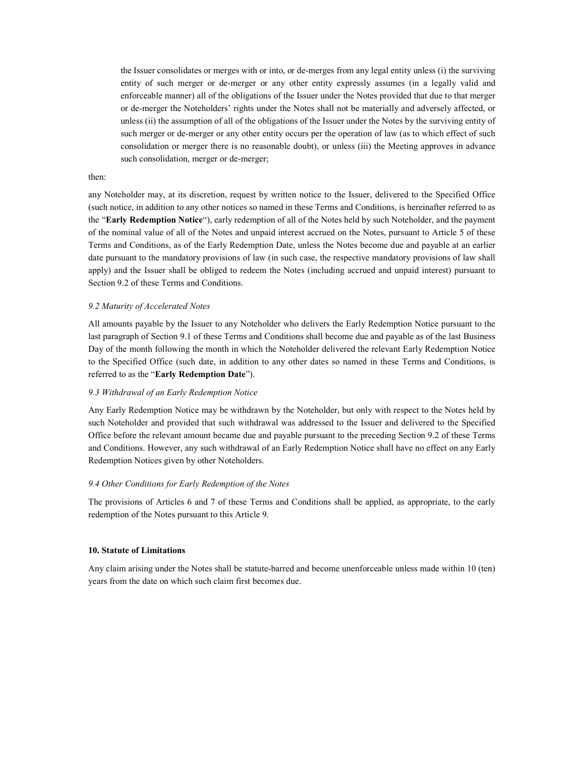the Issuer consolidates or merges with or into, or de-merges from any legal entity unless (i) the surviving entity of such merger or de-merger or any other entity expressly assumes (in a legally valid and enforceable manner) all of the obligations of the Issuer under the Notes provided that due to that merger or de-merger the Noteholders' rights under the Notes shall not be materially and adversely affected, or unless (ii) the assumption of all of the obligations of the Issuer under the Notes by the surviving entity of such merger or de-merger or any other entity occurs per the operation of law (as to which effect of such consolidation or merger there is no reasonable doubt), or unless (iii) the Meeting approves in advance such consolidation, merger or de-merger;

# then:

any Noteholder may, at its discretion, request by written notice to the Issuer, delivered to the Specified Office (such notice, in addition to any other notices so named in these Terms and Conditions, is hereinafter referred to as the "Early Redemption Notice"), early redemption of all of the Notes held by such Noteholder, and the payment of the nominal value of all of the Notes and unpaid interest accrued on the Notes, pursuant to Article 5 of these Terms and Conditions, as of the Early Redemption Date, unless the Notes become due and payable at an earlier date pursuant to the mandatory provisions of law (in such case, the respective mandatory provisions of law shall apply) and the Issuer shall be obliged to redeem the Notes (including accrued and unpaid interest) pursuant to Section 9.2 of these Terms and Conditions.

### 9.2 Maturity of Accelerated Notes

All amounts payable by the Issuer to any Noteholder who delivers the Early Redemption Notice pursuant to the last paragraph of Section 9.1 of these Terms and Conditions shall become due and payable as of the last Business Day of the month following the month in which the Noteholder delivered the relevant Early Redemption Notice to the Specified Office (such date, in addition to any other dates so named in these Terms and Conditions, is referred to as the "Early Redemption Date").

# 9.3 Withdrawal of an Early Redemption Notice

Any Early Redemption Notice may be withdrawn by the Noteholder, but only with respect to the Notes held by such Noteholder and provided that such withdrawal was addressed to the Issuer and delivered to the Specified Office before the relevant amount became due and payable pursuant to the preceding Section 9.2 of these Terms and Conditions. However, any such withdrawal of an Early Redemption Notice shall have no effect on any Early Redemption Notices given by other Noteholders.

#### 9.4 Other Conditions for Early Redemption of the Notes

The provisions of Articles 6 and 7 of these Terms and Conditions shall be applied, as appropriate, to the early redemption of the Notes pursuant to this Article 9.

### 10. Statute of Limitations

Any claim arising under the Notes shall be statute-barred and become unenforceable unless made within 10 (ten) years from the date on which such claim first becomes due.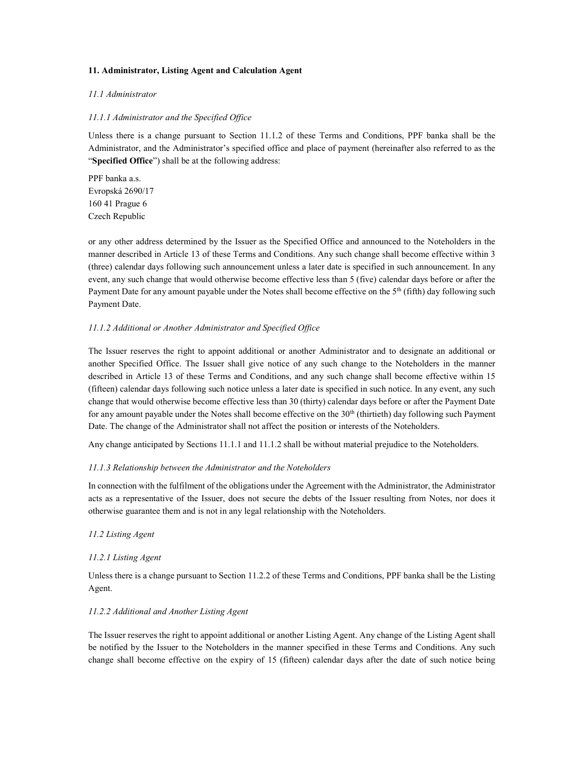# 11. Administrator, Listing Agent and Calculation Agent

# 11.1 Administrator

# 11.1.1 Administrator and the Specified Office

Unless there is a change pursuant to Section 11.1.2 of these Terms and Conditions, PPF banka shall be the Administrator, and the Administrator's specified office and place of payment (hereinafter also referred to as the "Specified Office") shall be at the following address:

PPF banka a.s. Evropská 2690/17 160 41 Prague 6 Czech Republic

or any other address determined by the Issuer as the Specified Office and announced to the Noteholders in the manner described in Article 13 of these Terms and Conditions. Any such change shall become effective within 3 (three) calendar days following such announcement unless a later date is specified in such announcement. In any event, any such change that would otherwise become effective less than 5 (five) calendar days before or after the Payment Date for any amount payable under the Notes shall become effective on the  $5<sup>th</sup>$  (fifth) day following such Payment Date.

# 11.1.2 Additional or Another Administrator and Specified Office

The Issuer reserves the right to appoint additional or another Administrator and to designate an additional or another Specified Office. The Issuer shall give notice of any such change to the Noteholders in the manner described in Article 13 of these Terms and Conditions, and any such change shall become effective within 15 (fifteen) calendar days following such notice unless a later date is specified in such notice. In any event, any such change that would otherwise become effective less than 30 (thirty) calendar days before or after the Payment Date for any amount payable under the Notes shall become effective on the 30<sup>th</sup> (thirtieth) day following such Payment Date. The change of the Administrator shall not affect the position or interests of the Noteholders.

Any change anticipated by Sections 11.1.1 and 11.1.2 shall be without material prejudice to the Noteholders.

### 11.1.3 Relationship between the Administrator and the Noteholders

In connection with the fulfilment of the obligations under the Agreement with the Administrator, the Administrator acts as a representative of the Issuer, does not secure the debts of the Issuer resulting from Notes, nor does it otherwise guarantee them and is not in any legal relationship with the Noteholders.

### 11.2 Listing Agent

# 11.2.1 Listing Agent

Unless there is a change pursuant to Section 11.2.2 of these Terms and Conditions, PPF banka shall be the Listing Agent.

# 11.2.2 Additional and Another Listing Agent

The Issuer reserves the right to appoint additional or another Listing Agent. Any change of the Listing Agent shall be notified by the Issuer to the Noteholders in the manner specified in these Terms and Conditions. Any such change shall become effective on the expiry of 15 (fifteen) calendar days after the date of such notice being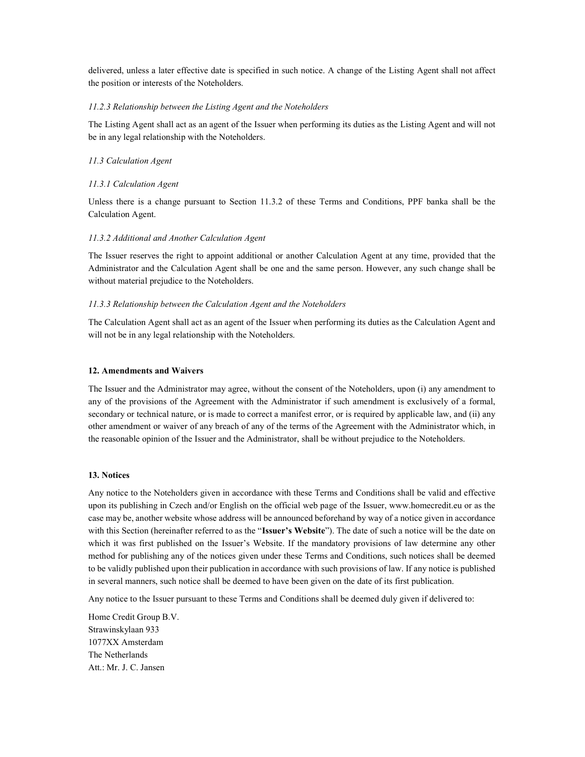delivered, unless a later effective date is specified in such notice. A change of the Listing Agent shall not affect the position or interests of the Noteholders.

# 11.2.3 Relationship between the Listing Agent and the Noteholders

The Listing Agent shall act as an agent of the Issuer when performing its duties as the Listing Agent and will not be in any legal relationship with the Noteholders.

# 11.3 Calculation Agent

# 11.3.1 Calculation Agent

Unless there is a change pursuant to Section 11.3.2 of these Terms and Conditions, PPF banka shall be the Calculation Agent.

# 11.3.2 Additional and Another Calculation Agent

The Issuer reserves the right to appoint additional or another Calculation Agent at any time, provided that the Administrator and the Calculation Agent shall be one and the same person. However, any such change shall be without material prejudice to the Noteholders.

# 11.3.3 Relationship between the Calculation Agent and the Noteholders

The Calculation Agent shall act as an agent of the Issuer when performing its duties as the Calculation Agent and will not be in any legal relationship with the Noteholders.

#### 12. Amendments and Waivers

The Issuer and the Administrator may agree, without the consent of the Noteholders, upon (i) any amendment to any of the provisions of the Agreement with the Administrator if such amendment is exclusively of a formal, secondary or technical nature, or is made to correct a manifest error, or is required by applicable law, and (ii) any other amendment or waiver of any breach of any of the terms of the Agreement with the Administrator which, in the reasonable opinion of the Issuer and the Administrator, shall be without prejudice to the Noteholders.

# 13. Notices

Any notice to the Noteholders given in accordance with these Terms and Conditions shall be valid and effective upon its publishing in Czech and/or English on the official web page of the Issuer, www.homecredit.eu or as the case may be, another website whose address will be announced beforehand by way of a notice given in accordance with this Section (hereinafter referred to as the "Issuer's Website"). The date of such a notice will be the date on which it was first published on the Issuer's Website. If the mandatory provisions of law determine any other method for publishing any of the notices given under these Terms and Conditions, such notices shall be deemed to be validly published upon their publication in accordance with such provisions of law. If any notice is published in several manners, such notice shall be deemed to have been given on the date of its first publication.

Any notice to the Issuer pursuant to these Terms and Conditions shall be deemed duly given if delivered to:

Home Credit Group B.V. Strawinskylaan 933 1077XX Amsterdam The Netherlands Att.: Mr. J. C. Jansen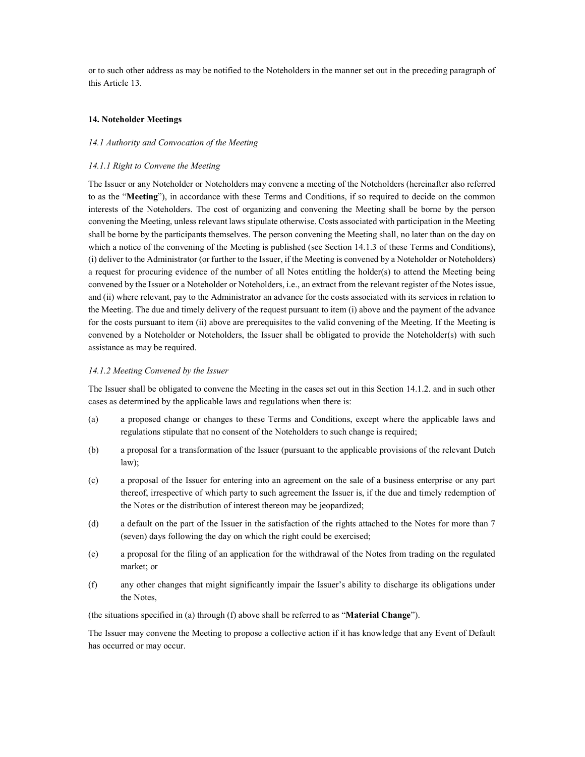or to such other address as may be notified to the Noteholders in the manner set out in the preceding paragraph of this Article 13.

## 14. Noteholder Meetings

# 14.1 Authority and Convocation of the Meeting

## 14.1.1 Right to Convene the Meeting

The Issuer or any Noteholder or Noteholders may convene a meeting of the Noteholders (hereinafter also referred to as the "Meeting"), in accordance with these Terms and Conditions, if so required to decide on the common interests of the Noteholders. The cost of organizing and convening the Meeting shall be borne by the person convening the Meeting, unless relevant laws stipulate otherwise. Costs associated with participation in the Meeting shall be borne by the participants themselves. The person convening the Meeting shall, no later than on the day on which a notice of the convening of the Meeting is published (see Section 14.1.3 of these Terms and Conditions), (i) deliver to the Administrator (or further to the Issuer, if the Meeting is convened by a Noteholder or Noteholders) a request for procuring evidence of the number of all Notes entitling the holder(s) to attend the Meeting being convened by the Issuer or a Noteholder or Noteholders, i.e., an extract from the relevant register of the Notes issue, and (ii) where relevant, pay to the Administrator an advance for the costs associated with its services in relation to the Meeting. The due and timely delivery of the request pursuant to item (i) above and the payment of the advance for the costs pursuant to item (ii) above are prerequisites to the valid convening of the Meeting. If the Meeting is convened by a Noteholder or Noteholders, the Issuer shall be obligated to provide the Noteholder(s) with such assistance as may be required.

### 14.1.2 Meeting Convened by the Issuer

The Issuer shall be obligated to convene the Meeting in the cases set out in this Section 14.1.2. and in such other cases as determined by the applicable laws and regulations when there is:

- (a) a proposed change or changes to these Terms and Conditions, except where the applicable laws and regulations stipulate that no consent of the Noteholders to such change is required;
- (b) a proposal for a transformation of the Issuer (pursuant to the applicable provisions of the relevant Dutch law);
- (c) a proposal of the Issuer for entering into an agreement on the sale of a business enterprise or any part thereof, irrespective of which party to such agreement the Issuer is, if the due and timely redemption of the Notes or the distribution of interest thereon may be jeopardized;
- (d) a default on the part of the Issuer in the satisfaction of the rights attached to the Notes for more than 7 (seven) days following the day on which the right could be exercised;
- (e) a proposal for the filing of an application for the withdrawal of the Notes from trading on the regulated market; or
- (f) any other changes that might significantly impair the Issuer's ability to discharge its obligations under the Notes,

(the situations specified in (a) through (f) above shall be referred to as "Material Change").

The Issuer may convene the Meeting to propose a collective action if it has knowledge that any Event of Default has occurred or may occur.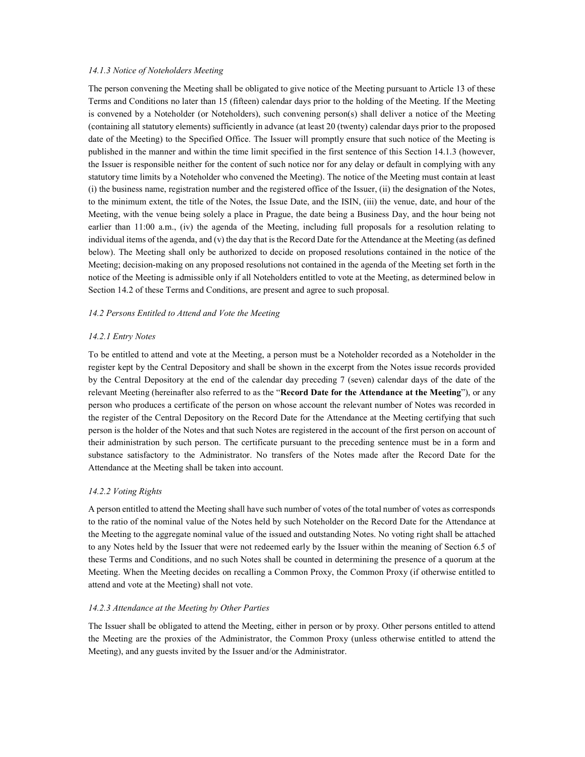# 14.1.3 Notice of Noteholders Meeting

The person convening the Meeting shall be obligated to give notice of the Meeting pursuant to Article 13 of these Terms and Conditions no later than 15 (fifteen) calendar days prior to the holding of the Meeting. If the Meeting is convened by a Noteholder (or Noteholders), such convening person(s) shall deliver a notice of the Meeting (containing all statutory elements) sufficiently in advance (at least 20 (twenty) calendar days prior to the proposed date of the Meeting) to the Specified Office. The Issuer will promptly ensure that such notice of the Meeting is published in the manner and within the time limit specified in the first sentence of this Section 14.1.3 (however, the Issuer is responsible neither for the content of such notice nor for any delay or default in complying with any statutory time limits by a Noteholder who convened the Meeting). The notice of the Meeting must contain at least (i) the business name, registration number and the registered office of the Issuer, (ii) the designation of the Notes, to the minimum extent, the title of the Notes, the Issue Date, and the ISIN, (iii) the venue, date, and hour of the Meeting, with the venue being solely a place in Prague, the date being a Business Day, and the hour being not earlier than 11:00 a.m., (iv) the agenda of the Meeting, including full proposals for a resolution relating to individual items of the agenda, and (v) the day that is the Record Date for the Attendance at the Meeting (as defined below). The Meeting shall only be authorized to decide on proposed resolutions contained in the notice of the Meeting; decision-making on any proposed resolutions not contained in the agenda of the Meeting set forth in the notice of the Meeting is admissible only if all Noteholders entitled to vote at the Meeting, as determined below in Section 14.2 of these Terms and Conditions, are present and agree to such proposal.

# 14.2 Persons Entitled to Attend and Vote the Meeting

# 14.2.1 Entry Notes

To be entitled to attend and vote at the Meeting, a person must be a Noteholder recorded as a Noteholder in the register kept by the Central Depository and shall be shown in the excerpt from the Notes issue records provided by the Central Depository at the end of the calendar day preceding 7 (seven) calendar days of the date of the relevant Meeting (hereinafter also referred to as the "Record Date for the Attendance at the Meeting"), or any person who produces a certificate of the person on whose account the relevant number of Notes was recorded in the register of the Central Depository on the Record Date for the Attendance at the Meeting certifying that such person is the holder of the Notes and that such Notes are registered in the account of the first person on account of their administration by such person. The certificate pursuant to the preceding sentence must be in a form and substance satisfactory to the Administrator. No transfers of the Notes made after the Record Date for the Attendance at the Meeting shall be taken into account.

### 14.2.2 Voting Rights

A person entitled to attend the Meeting shall have such number of votes of the total number of votes as corresponds to the ratio of the nominal value of the Notes held by such Noteholder on the Record Date for the Attendance at the Meeting to the aggregate nominal value of the issued and outstanding Notes. No voting right shall be attached to any Notes held by the Issuer that were not redeemed early by the Issuer within the meaning of Section 6.5 of these Terms and Conditions, and no such Notes shall be counted in determining the presence of a quorum at the Meeting. When the Meeting decides on recalling a Common Proxy, the Common Proxy (if otherwise entitled to attend and vote at the Meeting) shall not vote.

### 14.2.3 Attendance at the Meeting by Other Parties

The Issuer shall be obligated to attend the Meeting, either in person or by proxy. Other persons entitled to attend the Meeting are the proxies of the Administrator, the Common Proxy (unless otherwise entitled to attend the Meeting), and any guests invited by the Issuer and/or the Administrator.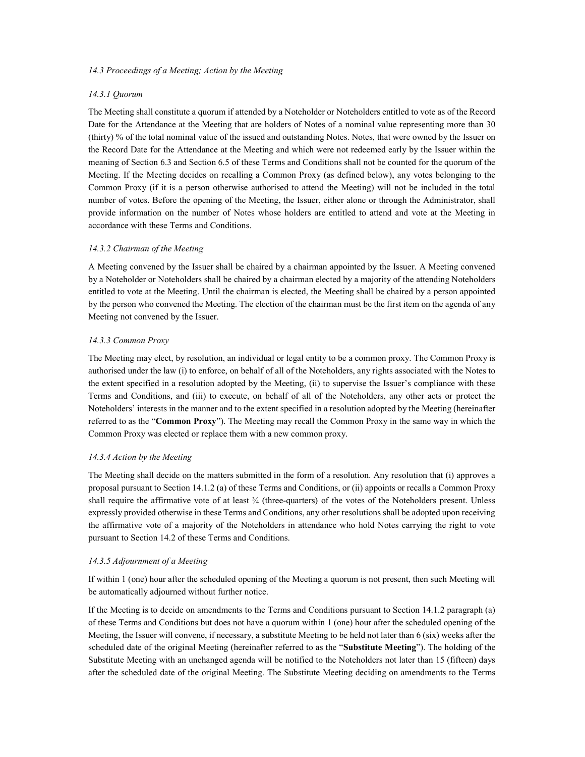# 14.3 Proceedings of a Meeting; Action by the Meeting

# 14.3.1 Quorum

The Meeting shall constitute a quorum if attended by a Noteholder or Noteholders entitled to vote as of the Record Date for the Attendance at the Meeting that are holders of Notes of a nominal value representing more than 30 (thirty) % of the total nominal value of the issued and outstanding Notes. Notes, that were owned by the Issuer on the Record Date for the Attendance at the Meeting and which were not redeemed early by the Issuer within the meaning of Section 6.3 and Section 6.5 of these Terms and Conditions shall not be counted for the quorum of the Meeting. If the Meeting decides on recalling a Common Proxy (as defined below), any votes belonging to the Common Proxy (if it is a person otherwise authorised to attend the Meeting) will not be included in the total number of votes. Before the opening of the Meeting, the Issuer, either alone or through the Administrator, shall provide information on the number of Notes whose holders are entitled to attend and vote at the Meeting in accordance with these Terms and Conditions.

# 14.3.2 Chairman of the Meeting

A Meeting convened by the Issuer shall be chaired by a chairman appointed by the Issuer. A Meeting convened by a Noteholder or Noteholders shall be chaired by a chairman elected by a majority of the attending Noteholders entitled to vote at the Meeting. Until the chairman is elected, the Meeting shall be chaired by a person appointed by the person who convened the Meeting. The election of the chairman must be the first item on the agenda of any Meeting not convened by the Issuer.

# 14.3.3 Common Proxy

The Meeting may elect, by resolution, an individual or legal entity to be a common proxy. The Common Proxy is authorised under the law (i) to enforce, on behalf of all of the Noteholders, any rights associated with the Notes to the extent specified in a resolution adopted by the Meeting, (ii) to supervise the Issuer's compliance with these Terms and Conditions, and (iii) to execute, on behalf of all of the Noteholders, any other acts or protect the Noteholders' interests in the manner and to the extent specified in a resolution adopted by the Meeting (hereinafter referred to as the "Common Proxy"). The Meeting may recall the Common Proxy in the same way in which the Common Proxy was elected or replace them with a new common proxy.

# 14.3.4 Action by the Meeting

The Meeting shall decide on the matters submitted in the form of a resolution. Any resolution that (i) approves a proposal pursuant to Section 14.1.2 (a) of these Terms and Conditions, or (ii) appoints or recalls a Common Proxy shall require the affirmative vote of at least  $\frac{3}{4}$  (three-quarters) of the votes of the Noteholders present. Unless expressly provided otherwise in these Terms and Conditions, any other resolutions shall be adopted upon receiving the affirmative vote of a majority of the Noteholders in attendance who hold Notes carrying the right to vote pursuant to Section 14.2 of these Terms and Conditions.

# 14.3.5 Adjournment of a Meeting

If within 1 (one) hour after the scheduled opening of the Meeting a quorum is not present, then such Meeting will be automatically adjourned without further notice.

If the Meeting is to decide on amendments to the Terms and Conditions pursuant to Section 14.1.2 paragraph (a) of these Terms and Conditions but does not have a quorum within 1 (one) hour after the scheduled opening of the Meeting, the Issuer will convene, if necessary, a substitute Meeting to be held not later than 6 (six) weeks after the scheduled date of the original Meeting (hereinafter referred to as the "Substitute Meeting"). The holding of the Substitute Meeting with an unchanged agenda will be notified to the Noteholders not later than 15 (fifteen) days after the scheduled date of the original Meeting. The Substitute Meeting deciding on amendments to the Terms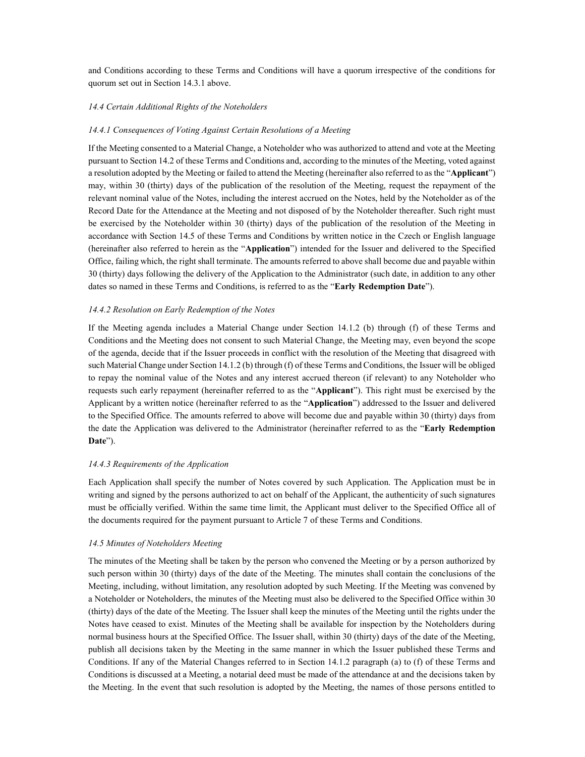and Conditions according to these Terms and Conditions will have a quorum irrespective of the conditions for quorum set out in Section 14.3.1 above.

# 14.4 Certain Additional Rights of the Noteholders

#### 14.4.1 Consequences of Voting Against Certain Resolutions of a Meeting

If the Meeting consented to a Material Change, a Noteholder who was authorized to attend and vote at the Meeting pursuant to Section 14.2 of these Terms and Conditions and, according to the minutes of the Meeting, voted against a resolution adopted by the Meeting or failed to attend the Meeting (hereinafter also referred to as the "Applicant") may, within 30 (thirty) days of the publication of the resolution of the Meeting, request the repayment of the relevant nominal value of the Notes, including the interest accrued on the Notes, held by the Noteholder as of the Record Date for the Attendance at the Meeting and not disposed of by the Noteholder thereafter. Such right must be exercised by the Noteholder within 30 (thirty) days of the publication of the resolution of the Meeting in accordance with Section 14.5 of these Terms and Conditions by written notice in the Czech or English language (hereinafter also referred to herein as the "Application") intended for the Issuer and delivered to the Specified Office, failing which, the right shall terminate. The amounts referred to above shall become due and payable within 30 (thirty) days following the delivery of the Application to the Administrator (such date, in addition to any other dates so named in these Terms and Conditions, is referred to as the "Early Redemption Date").

#### 14.4.2 Resolution on Early Redemption of the Notes

If the Meeting agenda includes a Material Change under Section 14.1.2 (b) through (f) of these Terms and Conditions and the Meeting does not consent to such Material Change, the Meeting may, even beyond the scope of the agenda, decide that if the Issuer proceeds in conflict with the resolution of the Meeting that disagreed with such Material Change under Section 14.1.2 (b) through (f) of these Terms and Conditions, the Issuer will be obliged to repay the nominal value of the Notes and any interest accrued thereon (if relevant) to any Noteholder who requests such early repayment (hereinafter referred to as the "Applicant"). This right must be exercised by the Applicant by a written notice (hereinafter referred to as the "Application") addressed to the Issuer and delivered to the Specified Office. The amounts referred to above will become due and payable within 30 (thirty) days from the date the Application was delivered to the Administrator (hereinafter referred to as the "Early Redemption Date").

# 14.4.3 Requirements of the Application

Each Application shall specify the number of Notes covered by such Application. The Application must be in writing and signed by the persons authorized to act on behalf of the Applicant, the authenticity of such signatures must be officially verified. Within the same time limit, the Applicant must deliver to the Specified Office all of the documents required for the payment pursuant to Article 7 of these Terms and Conditions.

#### 14.5 Minutes of Noteholders Meeting

The minutes of the Meeting shall be taken by the person who convened the Meeting or by a person authorized by such person within 30 (thirty) days of the date of the Meeting. The minutes shall contain the conclusions of the Meeting, including, without limitation, any resolution adopted by such Meeting. If the Meeting was convened by a Noteholder or Noteholders, the minutes of the Meeting must also be delivered to the Specified Office within 30 (thirty) days of the date of the Meeting. The Issuer shall keep the minutes of the Meeting until the rights under the Notes have ceased to exist. Minutes of the Meeting shall be available for inspection by the Noteholders during normal business hours at the Specified Office. The Issuer shall, within 30 (thirty) days of the date of the Meeting, publish all decisions taken by the Meeting in the same manner in which the Issuer published these Terms and Conditions. If any of the Material Changes referred to in Section 14.1.2 paragraph (a) to (f) of these Terms and Conditions is discussed at a Meeting, a notarial deed must be made of the attendance at and the decisions taken by the Meeting. In the event that such resolution is adopted by the Meeting, the names of those persons entitled to